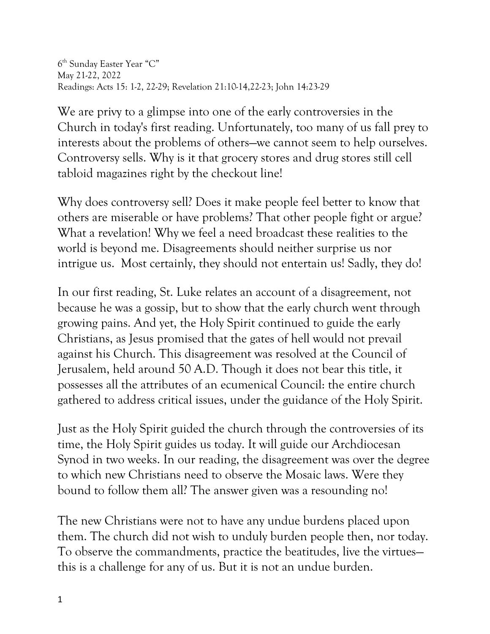6th Sunday Easter Year "C" May 21-22, 2022 Readings: Acts 15: 1-2, 22-29; Revelation 21:10-14,22-23; John 14:23-29

We are privy to a glimpse into one of the early controversies in the Church in today's first reading. Unfortunately, too many of us fall prey to interests about the problems of others—we cannot seem to help ourselves. Controversy sells. Why is it that grocery stores and drug stores still cell tabloid magazines right by the checkout line!

Why does controversy sell? Does it make people feel better to know that others are miserable or have problems? That other people fight or argue? What a revelation! Why we feel a need broadcast these realities to the world is beyond me. Disagreements should neither surprise us nor intrigue us. Most certainly, they should not entertain us! Sadly, they do!

In our first reading, St. Luke relates an account of a disagreement, not because he was a gossip, but to show that the early church went through growing pains. And yet, the Holy Spirit continued to guide the early Christians, as Jesus promised that the gates of hell would not prevail against his Church. This disagreement was resolved at the Council of Jerusalem, held around 50 A.D. Though it does not bear this title, it possesses all the attributes of an ecumenical Council: the entire church gathered to address critical issues, under the guidance of the Holy Spirit.

Just as the Holy Spirit guided the church through the controversies of its time, the Holy Spirit guides us today. It will guide our Archdiocesan Synod in two weeks. In our reading, the disagreement was over the degree to which new Christians need to observe the Mosaic laws. Were they bound to follow them all? The answer given was a resounding no!

The new Christians were not to have any undue burdens placed upon them. The church did not wish to unduly burden people then, nor today. To observe the commandments, practice the beatitudes, live the virtues this is a challenge for any of us. But it is not an undue burden.